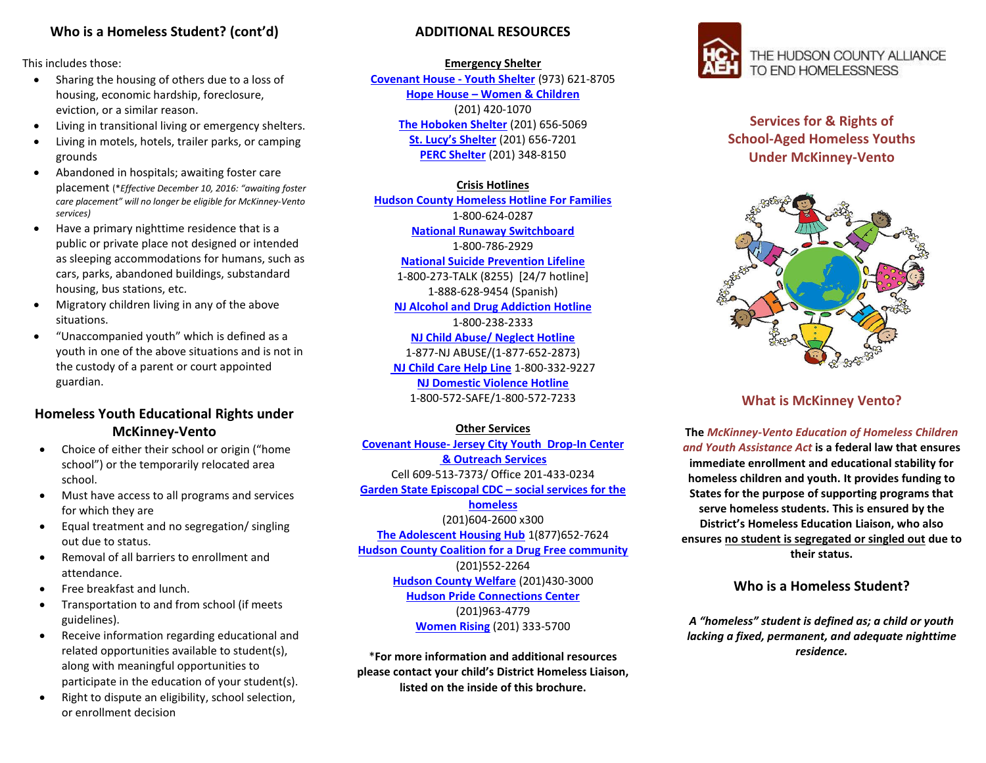## **Who is a Homeless Student? (cont'd)**

This includes those:

- Sharing the housing of others due to a loss of housing, economic hardship, foreclosure, eviction, or a similar reason.
- Living in transitional living or emergency shelters.
- Living in motels, hotels, trailer parks, or camping grounds
- Abandoned in hospitals; awaiting foster care placement (\**Effective December 10, 2016: "awaiting foster care placement" will no longer be eligible for McKinney-Vento services)*
- Have a primary nighttime residence that is a public or private place not designed or intended as sleeping accommodations for humans, such as cars, parks, abandoned buildings, substandard housing, bus stations, etc.
- Migratory children living in any of the above situations.
- "Unaccompanied youth" which is defined as a youth in one of the above situations and is not in the custody of a parent or court appointed guardian.

## **Homeless Youth Educational Rights under McKinney-Vento**

- Choice of either their school or origin ("home school") or the temporarily relocated area school.
- Must have access to all programs and services for which they are
- Equal treatment and no segregation/ singling out due to status.
- Removal of all barriers to enrollment and attendance.
- Free breakfast and lunch.
- Transportation to and from school (if meets guidelines).
- Receive information regarding educational and related opportunities available to student(s), along with meaningful opportunities to participate in the education of your student(s).
- Right to dispute an eligibility, school selection, or enrollment decision

### **ADDITIONAL RESOURCES**

#### **Emergency Shelter**

**Covenant House - Youth Shelter** (973) 621-8705 **Hope House – Women & Children** [\(201\) 420-1070](javascript:void(0)) **The Hoboken Shelter** [\(201\) 656-5069](javascript:void(0)) **St. Lucy's Shelter** [\(201\) 656-7201](javascript:void(0)) **PERC Shelter** [\(201\) 348-8150](javascript:void(0))

### **Crisis Hotlines**

**Hudson County Homeless Hotline For Families** 1-800-624-0287 **[National Runaway Switchboard](http://www.1800runaway.org/)** 1-800-786-2929 **[National Suicide Prevention Lifeline](http://www.suicidepreventionlifeline.org/)** 1-800-273-TALK (8255) [24/7 hotline] 1-888-628-9454 (Spanish) **NJ Alcohol and Drug Addiction Hotline** 1-800-238-2333 **NJ Child Abuse/ Neglect Hotline** 1-877-NJ ABUSE/(1-877-652-2873) **NJ Child Care Help Line** 1-800-332-9227

> **NJ Domestic Violence Hotline** 1-800-572-SAFE/1-800-572-7233

#### **Other Services**

**Covenant House- Jersey City Youth Drop-In Center & Outreach Services** Cell 609-513-7373/ Office 201-433-0234 **Garden State Episcopal CDC – social services for the homeless**  (201)604-2600 x300 **The Adolescent Housing Hub** 1(877)652-7624 **Hudson County Coalition for a Drug Free community** (201)552-2264 **Hudson County Welfare** (201)430-3000 **Hudson Pride Connections Center**  (201)963-4779 **Women Rising** (201) 333-5700

\***For more information and additional resources please contact your child's District Homeless Liaison, listed on the inside of this brochure.**



# **Services for & Rights of School-Aged Homeless Youths Under McKinney-Vento**



### **What is McKinney Vento?**

**The** *McKinney-Vento Education of Homeless Children and Youth Assistance Act* **is a federal law that ensures immediate enrollment and educational stability for homeless children and youth. It provides funding to States for the purpose of supporting programs that serve homeless students. This is ensured by the District's Homeless Education Liaison, who also ensures no student is segregated or singled out due to their status.**

### **Who is a Homeless Student?**

*A "homeless" student is defined as; a child or youth lacking a fixed, permanent, and adequate nighttime residence.*